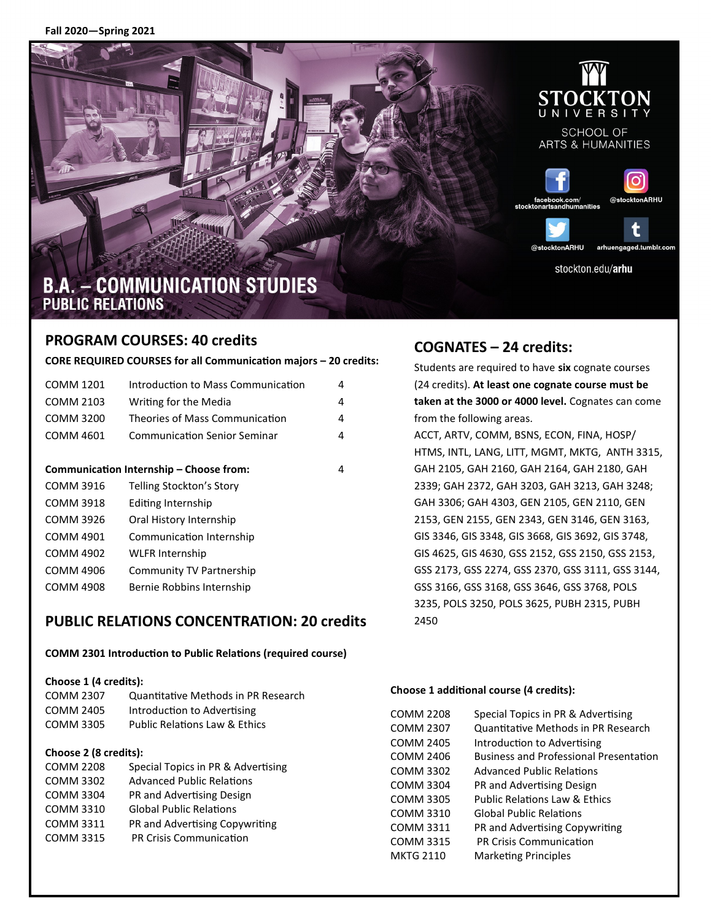**Fall 2020—Spring 2021**



### **PROGRAM COURSES: 40 credits**

**CORE REQUIRED COURSES for all Communication majors – 20 credits:** 

| COMM 1201                               | Introduction to Mass Communication  | 4 |
|-----------------------------------------|-------------------------------------|---|
| COMM 2103                               | Writing for the Media               | 4 |
| COMM 3200                               | Theories of Mass Communication      | 4 |
| COMM 4601                               | <b>Communication Senior Seminar</b> | 4 |
|                                         |                                     |   |
| Communication Internship – Choose from: |                                     | 4 |
| <b>COMM 3916</b>                        | Telling Stockton's Story            |   |
| <b>COMM 3918</b>                        | Editing Internship                  |   |
| COMM 3926                               | Oral History Internship             |   |
| <b>COMM 4901</b>                        | Communication Internship            |   |
| COMM 4902                               | <b>WLFR Internship</b>              |   |
| COMM 4906                               | Community TV Partnership            |   |
| COMM 4908                               | Bernie Robbins Internship           |   |
|                                         |                                     |   |

### **PUBLIC RELATIONS CONCENTRATION: 20 credits**

#### **COMM 2301 Introduction to Public Relations (required course)**

#### **Choose 1 (4 credits):**

| COMM 2307        | Quantitative Methods in PR Research      |
|------------------|------------------------------------------|
| COMM 2405        | Introduction to Advertising              |
| <b>COMM 3305</b> | <b>Public Relations Law &amp; Ethics</b> |

#### **Choose 2 (8 credits):**

| <b>COMM 2208</b> | Special Topics in PR & Advertising |
|------------------|------------------------------------|
| <b>COMM 3302</b> | <b>Advanced Public Relations</b>   |
| <b>COMM 3304</b> | PR and Advertising Design          |
| <b>COMM 3310</b> | <b>Global Public Relations</b>     |
| <b>COMM 3311</b> | PR and Advertising Copywriting     |
| <b>COMM 3315</b> | PR Crisis Communication            |

# **COGNATES – 24 credits:**

Students are required to have **six** cognate courses (24 credits). **At least one cognate course must be taken at the 3000 or 4000 level.** Cognates can come from the following areas. ACCT, ARTV, COMM, BSNS, ECON, FINA, HOSP/ HTMS, INTL, LANG, LITT, MGMT, MKTG, ANTH 3315, GAH 2105, GAH 2160, GAH 2164, GAH 2180, GAH 2339; GAH 2372, GAH 3203, GAH 3213, GAH 3248; GAH 3306; GAH 4303, GEN 2105, GEN 2110, GEN 2153, GEN 2155, GEN 2343, GEN 3146, GEN 3163, GIS 3346, GIS 3348, GIS 3668, GIS 3692, GIS 3748, GIS 4625, GIS 4630, GSS 2152, GSS 2150, GSS 2153, GSS 2173, GSS 2274, GSS 2370, GSS 3111, GSS 3144, GSS 3166, GSS 3168, GSS 3646, GSS 3768, POLS 3235, POLS 3250, POLS 3625, PUBH 2315, PUBH 2450

#### **Choose 1 additional course (4 credits):**

| COMM 2208 | Special Topics in PR & Advertising            |
|-----------|-----------------------------------------------|
| COMM 2307 | Quantitative Methods in PR Research           |
| COMM 2405 | Introduction to Advertising                   |
| COMM 2406 | <b>Business and Professional Presentation</b> |
| COMM 3302 | <b>Advanced Public Relations</b>              |
| COMM 3304 | PR and Advertising Design                     |
| COMM 3305 | <b>Public Relations Law &amp; Ethics</b>      |
| COMM 3310 | <b>Global Public Relations</b>                |
| COMM 3311 | PR and Advertising Copywriting                |
| COMM 3315 | <b>PR Crisis Communication</b>                |
| MKTG 2110 | <b>Marketing Principles</b>                   |
|           |                                               |